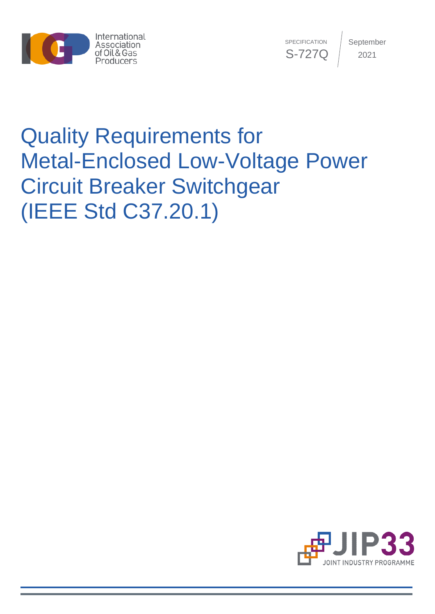

**SPECIFICATION** S-727Q September 2021

# Quality Requirements for Metal-Enclosed Low-Voltage Power Circuit Breaker Switchgear (IEEE Std C37.20.1)

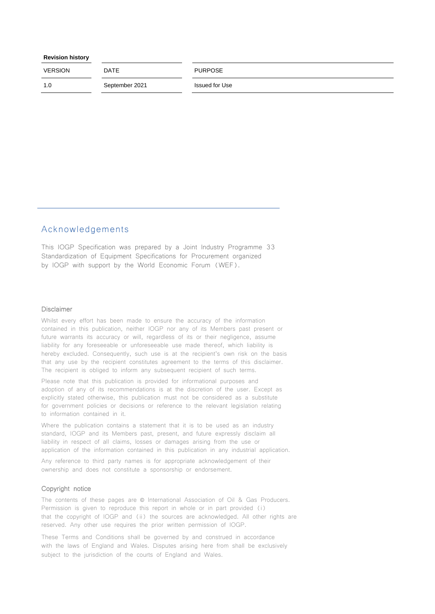| <b>Revision history</b> |  |
|-------------------------|--|
|-------------------------|--|

| <b>VERSION</b> | <b>DATE</b>    | <b>PURPOSE</b> |
|----------------|----------------|----------------|
| 1.0            | September 2021 | Issued for Use |

#### Acknowledgements

This IOGP Specification was prepared by a Joint Industry Programme 33 Standardization of Equipment Specifications for Procurement organized by IOGP with support by the World Economic Forum (WEF).

#### Disclaimer

Whilst every effort has been made to ensure the accuracy of the information contained in this publication, neither IOGP nor any of its Members past present or future warrants its accuracy or will, regardless of its or their negligence, assume liability for any foreseeable or unforeseeable use made thereof, which liability is hereby excluded. Consequently, such use is at the recipient's own risk on the basis that any use by the recipient constitutes agreement to the terms of this disclaimer. The recipient is obliged to inform any subsequent recipient of such terms.

Please note that this publication is provided for informational purposes and adoption of any of its recommendations is at the discretion of the user. Except as explicitly stated otherwise, this publication must not be considered as a substitute for government policies or decisions or reference to the relevant legislation relating to information contained in it.

Where the publication contains a statement that it is to be used as an industry standard, IOGP and its Members past, present, and future expressly disclaim all liability in respect of all claims, losses or damages arising from the use or application of the information contained in this publication in any industrial application.

Any reference to third party names is for appropriate acknowledgement of their ownership and does not constitute a sponsorship or endorsement.

#### Copyright notice

The contents of these pages are © International Association of Oil & Gas Producers. Permission is given to reproduce this report in whole or in part provided (i) that the copyright of IOGP and (ii) the sources are acknowledged. All other rights are reserved. Any other use requires the prior written permission of IOGP.

These Terms and Conditions shall be governed by and construed in accordance with the laws of England and Wales. Disputes arising here from shall be exclusively subject to the jurisdiction of the courts of England and Wales.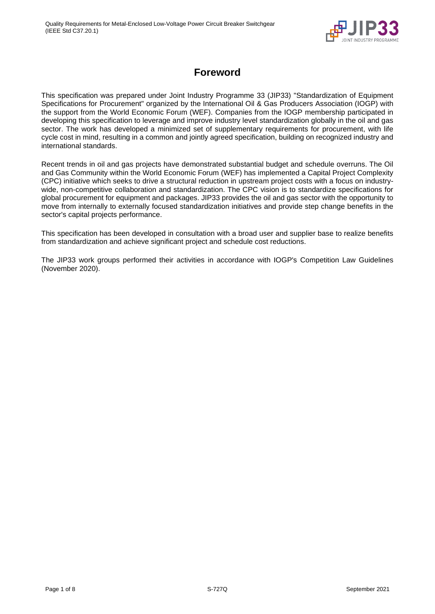

# **Foreword**

<span id="page-2-0"></span>This specification was prepared under Joint Industry Programme 33 (JIP33) "Standardization of Equipment Specifications for Procurement" organized by the International Oil & Gas Producers Association (IOGP) with the support from the World Economic Forum (WEF). Companies from the IOGP membership participated in developing this specification to leverage and improve industry level standardization globally in the oil and gas sector. The work has developed a minimized set of supplementary requirements for procurement, with life cycle cost in mind, resulting in a common and jointly agreed specification, building on recognized industry and international standards.

Recent trends in oil and gas projects have demonstrated substantial budget and schedule overruns. The Oil and Gas Community within the World Economic Forum (WEF) has implemented a Capital Project Complexity (CPC) initiative which seeks to drive a structural reduction in upstream project costs with a focus on industrywide, non-competitive collaboration and standardization. The CPC vision is to standardize specifications for global procurement for equipment and packages. JIP33 provides the oil and gas sector with the opportunity to move from internally to externally focused standardization initiatives and provide step change benefits in the sector's capital projects performance.

This specification has been developed in consultation with a broad user and supplier base to realize benefits from standardization and achieve significant project and schedule cost reductions.

The JIP33 work groups performed their activities in accordance with IOGP's Competition Law Guidelines (November 2020).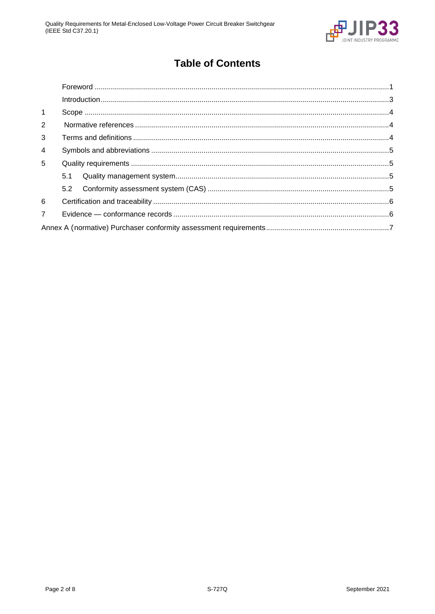

# **Table of Contents**

| $\mathbf{1}$   |     |  |
|----------------|-----|--|
| 2              |     |  |
| 3              |     |  |
| $\overline{4}$ |     |  |
| $5^{\circ}$    |     |  |
|                | 5.1 |  |
|                |     |  |
| 6              |     |  |
| $\overline{7}$ |     |  |
|                |     |  |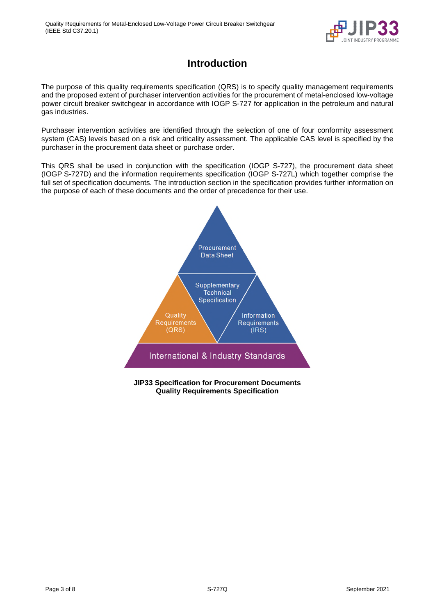

# **Introduction**

<span id="page-4-0"></span>The purpose of this quality requirements specification (QRS) is to specify quality management requirements and the proposed extent of purchaser intervention activities for the procurement of metal-enclosed low-voltage power circuit breaker switchgear in accordance with IOGP S-727 for application in the petroleum and natural gas industries.

Purchaser intervention activities are identified through the selection of one of four conformity assessment system (CAS) levels based on a risk and criticality assessment. The applicable CAS level is specified by the purchaser in the procurement data sheet or purchase order.

This QRS shall be used in conjunction with the specification (IOGP S-727), the procurement data sheet (IOGP S-727D) and the information requirements specification (IOGP S-727L) which together comprise the full set of specification documents. The introduction section in the specification provides further information on the purpose of each of these documents and the order of precedence for their use.



**JIP33 Specification for Procurement Documents Quality Requirements Specification**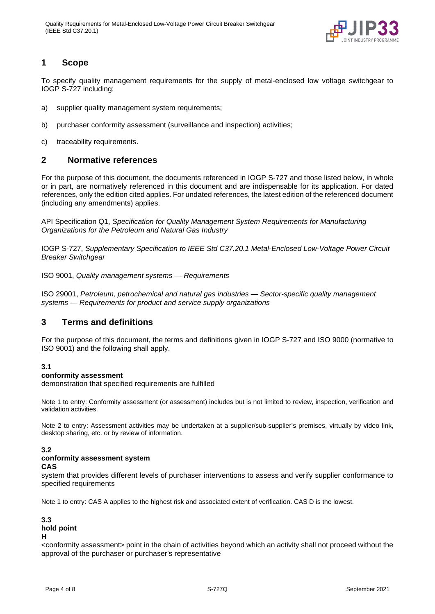

#### <span id="page-5-0"></span>**1 Scope**

To specify quality management requirements for the supply of metal-enclosed low voltage switchgear to IOGP S-727 including:

- a) supplier quality management system requirements;
- b) purchaser conformity assessment (surveillance and inspection) activities;
- c) traceability requirements.

#### <span id="page-5-1"></span>**2 Normative references**

For the purpose of this document, the documents referenced in IOGP S-727 and those listed below, in whole or in part, are normatively referenced in this document and are indispensable for its application. For dated references, only the edition cited applies. For undated references, the latest edition of the referenced document (including any amendments) applies.

API Specification Q1, *Specification for Quality Management System Requirements for Manufacturing Organizations for the Petroleum and Natural Gas Industry*

IOGP S-727, *Supplementary Specification to IEEE Std C37.20.1 Metal-Enclosed Low-Voltage Power Circuit Breaker Switchgear* 

ISO 9001, *Quality management systems — Requirements*

ISO 29001, *Petroleum, petrochemical and natural gas industries — Sector-specific quality management systems — Requirements for product and service supply organizations* 

#### <span id="page-5-2"></span>**3 Terms and definitions**

For the purpose of this document, the terms and definitions given in IOGP S-727 and ISO 9000 (normative to ISO 9001) and the following shall apply.

#### **3.1**

#### **conformity assessment**

demonstration that specified requirements are fulfilled

Note 1 to entry: Conformity assessment (or assessment) includes but is not limited to review, inspection, verification and validation activities.

Note 2 to entry: Assessment activities may be undertaken at a supplier/sub-supplier's premises, virtually by video link, desktop sharing, etc. or by review of information.

#### **3.2**

#### **conformity assessment system**

#### **CAS**

system that provides different levels of purchaser interventions to assess and verify supplier conformance to specified requirements

Note 1 to entry: CAS A applies to the highest risk and associated extent of verification. CAS D is the lowest.

#### **3.3 hold point H**

<conformity assessment> point in the chain of activities beyond which an activity shall not proceed without the approval of the purchaser or purchaser's representative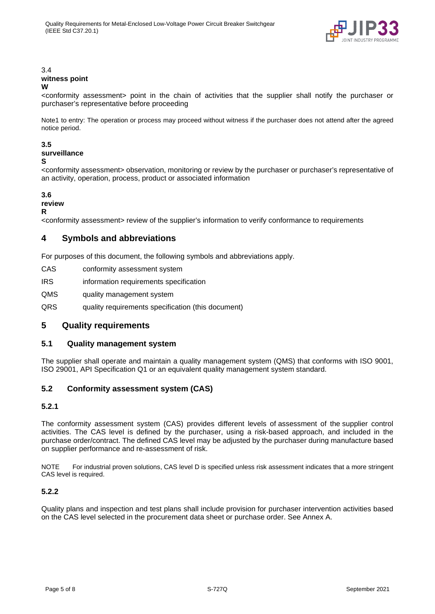

#### 3.4 **witness point W**

<conformity assessment> point in the chain of activities that the supplier shall notify the purchaser or purchaser's representative before proceeding

Note1 to entry: The operation or process may proceed without witness if the purchaser does not attend after the agreed notice period.

#### **3.5**

### **surveillance**

**S** 

<conformity assessment> observation, monitoring or review by the purchaser or purchaser's representative of an activity, operation, process, product or associated information

#### **3.6**

#### **review**

**R** 

<conformity assessment> review of the supplier's information to verify conformance to requirements

#### <span id="page-6-0"></span>**4 Symbols and abbreviations**

For purposes of this document, the following symbols and abbreviations apply.

| CAS | conformity assessment system |
|-----|------------------------------|
|     |                              |

IRS information requirements specification

QMS quality management system

QRS quality requirements specification (this document)

#### <span id="page-6-1"></span>**5 Quality requirements**

#### <span id="page-6-2"></span>**5.1 Quality management system**

The supplier shall operate and maintain a quality management system (QMS) that conforms with ISO 9001, ISO 29001, API Specification Q1 or an equivalent quality management system standard.

#### <span id="page-6-3"></span>**5.2 Conformity assessment system (CAS)**

#### **5.2.1**

The conformity assessment system (CAS) provides different levels of assessment of the supplier control activities. The CAS level is defined by the purchaser, using a risk-based approach, and included in the purchase order/contract. The defined CAS level may be adjusted by the purchaser during manufacture based on supplier performance and re-assessment of risk.

NOTE For industrial proven solutions, CAS level D is specified unless risk assessment indicates that a more stringent CAS level is required.

#### **5.2.2**

Quality plans and inspection and test plans shall include provision for purchaser intervention activities based on the CAS level selected in the procurement data sheet or purchase order. See Annex A.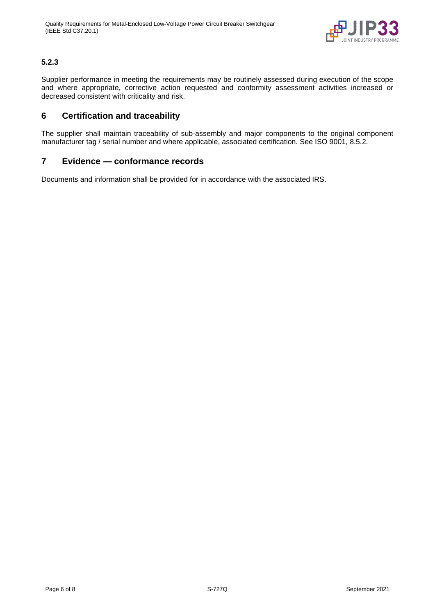

#### **5.2.3**

Supplier performance in meeting the requirements may be routinely assessed during execution of the scope and where appropriate, corrective action requested and conformity assessment activities increased or decreased consistent with criticality and risk.

#### <span id="page-7-0"></span>**6 Certification and traceability**

The supplier shall maintain traceability of sub-assembly and major components to the original component manufacturer tag / serial number and where applicable, associated certification. See ISO 9001, 8.5.2.

#### <span id="page-7-1"></span>**7 Evidence — conformance records**

Documents and information shall be provided for in accordance with the associated IRS.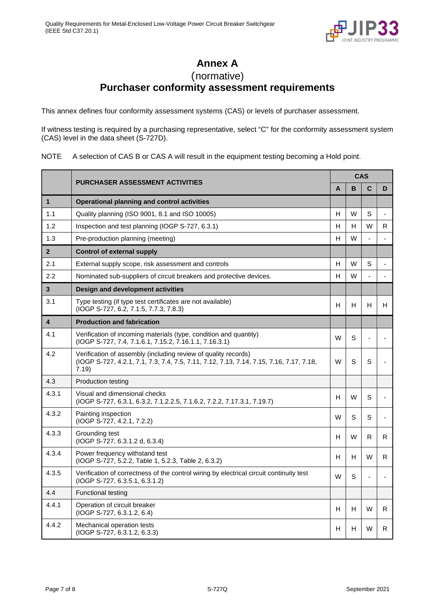

**Annex A** 

(normative)

# **Purchaser conformity assessment requirements**

<span id="page-8-0"></span>This annex defines four conformity assessment systems (CAS) or levels of purchaser assessment.

If witness testing is required by a purchasing representative, select "C" for the conformity assessment system (CAS) level in the data sheet (S-727D).

NOTE A selection of CAS B or CAS A will result in the equipment testing becoming a Hold point.

|                         | <b>PURCHASER ASSESSMENT ACTIVITIES</b>                                                                                                                             | <b>CAS</b> |   |   |    |  |
|-------------------------|--------------------------------------------------------------------------------------------------------------------------------------------------------------------|------------|---|---|----|--|
|                         |                                                                                                                                                                    |            | B | C | D  |  |
| $\mathbf{1}$            | <b>Operational planning and control activities</b>                                                                                                                 |            |   |   |    |  |
| 1.1                     | Quality planning (ISO 9001, 8.1 and ISO 10005)                                                                                                                     | H          | W | S |    |  |
| 1.2                     | Inspection and test planning (IOGP S-727, 6.3.1)                                                                                                                   | н          | н | W | R  |  |
| 1.3                     | Pre-production planning (meeting)                                                                                                                                  | H          | W |   |    |  |
| $\overline{2}$          | Control of external supply                                                                                                                                         |            |   |   |    |  |
| 2.1                     | External supply scope, risk assessment and controls                                                                                                                | H          | W | S |    |  |
| 2.2                     | Nominated sub-suppliers of circuit breakers and protective devices.                                                                                                | H          | W |   |    |  |
| $\overline{3}$          | <b>Design and development activities</b>                                                                                                                           |            |   |   |    |  |
| 3.1                     | Type testing (if type test certificates are not available)<br>(IOGP S-727, 6.2, 7.1.5, 7.7.3, 7.8.3)                                                               | н          | н | H | H. |  |
| $\overline{\mathbf{4}}$ | <b>Production and fabrication</b>                                                                                                                                  |            |   |   |    |  |
| 4.1                     | Verification of incoming materials (type, condition and quantity)<br>(IOGP S-727, 7.4, 7.1.6.1, 7.15.2, 7.16.1.1, 7.16.3.1)                                        | W          | S |   |    |  |
| 4.2                     | Verification of assembly (including review of quality records)<br>(IOGP S-727, 4.2.1, 7.1, 7.3, 7.4, 7.5, 7.11, 7.12, 7.13, 7.14, 7.15, 7.16, 7.17, 7.18,<br>7.19) | W          | S | S |    |  |
| 4.3                     | <b>Production testing</b>                                                                                                                                          |            |   |   |    |  |
| 4.3.1                   | Visual and dimensional checks<br>(IOGP S-727, 6.3.1, 6.3.2, 7.1.2.2.5, 7.1.6.2, 7.2.2, 7.17.3.1, 7.19.7)                                                           | н          | W | S |    |  |
| 4.3.2                   | Painting inspection<br>(IOGP S-727, 4.2.1, 7.2.2)                                                                                                                  | W          | S | S |    |  |
| 4.3.3                   | Grounding test<br>(IOGP S-727, 6.3.1.2 d, 6.3.4)                                                                                                                   | H          | W | R | R. |  |
| 4.3.4                   | Power frequency withstand test<br>(IOGP S-727, 5.2.2, Table 1, 5.2.3, Table 2, 6.3.2)                                                                              | н          | н | W | R. |  |
| 4.3.5                   | Verification of correctness of the control wiring by electrical circuit continuity test<br>$(IOGP S-727, 6.3.5.1, 6.3.1.2)$                                        | W          | S |   |    |  |
| 4.4                     | <b>Functional testing</b>                                                                                                                                          |            |   |   |    |  |
| 4.4.1                   | Operation of circuit breaker<br>$(IOGP S-727, 6.3.1.2, 6.4)$                                                                                                       | н          | н | W | R. |  |
| 4.4.2                   | Mechanical operation tests<br>(IOGP S-727, 6.3.1.2, 6.3.3)                                                                                                         | H          | н | W | R  |  |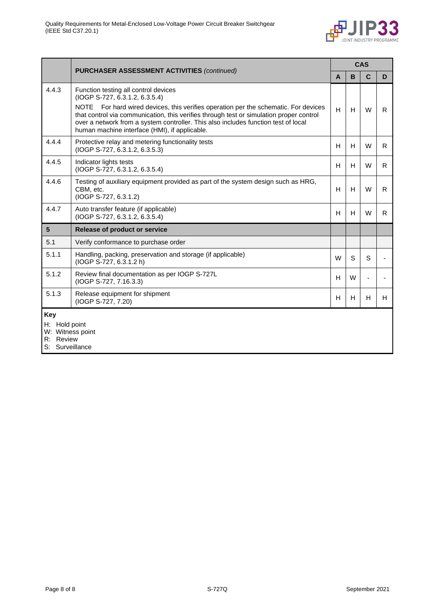

|                                                                          | <b>PURCHASER ASSESSMENT ACTIVITIES (continued)</b>                                                                                                                                                                                                                                                                                                                                                        | <b>CAS</b> |   |   |    |
|--------------------------------------------------------------------------|-----------------------------------------------------------------------------------------------------------------------------------------------------------------------------------------------------------------------------------------------------------------------------------------------------------------------------------------------------------------------------------------------------------|------------|---|---|----|
|                                                                          |                                                                                                                                                                                                                                                                                                                                                                                                           | A          | B | C | D  |
| 4.4.3                                                                    | Function testing all control devices<br>(IOGP S-727, 6.3.1.2, 6.3.5.4)<br>For hard wired devices, this verifies operation per the schematic. For devices<br><b>NOTE</b><br>that control via communication, this verifies through test or simulation proper control<br>over a network from a system controller. This also includes function test of local<br>human machine interface (HMI), if applicable. | H          | H | W | R. |
| 4.4.4                                                                    | Protective relay and metering functionality tests<br>$(IOGP S-727, 6.3.1.2, 6.3.5.3)$                                                                                                                                                                                                                                                                                                                     | H          | H | W | R. |
| 4.4.5                                                                    | Indicator lights tests<br>(IOGP S-727, 6.3.1.2, 6.3.5.4)                                                                                                                                                                                                                                                                                                                                                  | H          | H | W | R. |
| 4.4.6                                                                    | Testing of auxiliary equipment provided as part of the system design such as HRG,<br>CBM, etc.<br>(IOGP S-727, 6.3.1.2)                                                                                                                                                                                                                                                                                   | H          | H | W | R. |
| 4.4.7                                                                    | Auto transfer feature (if applicable)<br>(IOGP S-727, 6.3.1.2, 6.3.5.4)                                                                                                                                                                                                                                                                                                                                   | H          | H | W | R. |
| 5                                                                        | Release of product or service                                                                                                                                                                                                                                                                                                                                                                             |            |   |   |    |
| 5.1                                                                      | Verify conformance to purchase order                                                                                                                                                                                                                                                                                                                                                                      |            |   |   |    |
| 5.1.1                                                                    | Handling, packing, preservation and storage (if applicable)<br>(IOGP S-727, 6.3.1.2 h)                                                                                                                                                                                                                                                                                                                    | W          | S | S |    |
| 5.1.2                                                                    | Review final documentation as per IOGP S-727L<br>(IOGP S-727, 7.16.3.3)                                                                                                                                                                                                                                                                                                                                   | H.         | W |   |    |
| 5.1.3                                                                    | Release equipment for shipment<br>(IOGP S-727, 7.20)                                                                                                                                                                                                                                                                                                                                                      | H          | H | H | H  |
| Key<br>H: Hold point<br>W: Witness point<br>R: Review<br>S: Surveillance |                                                                                                                                                                                                                                                                                                                                                                                                           |            |   |   |    |